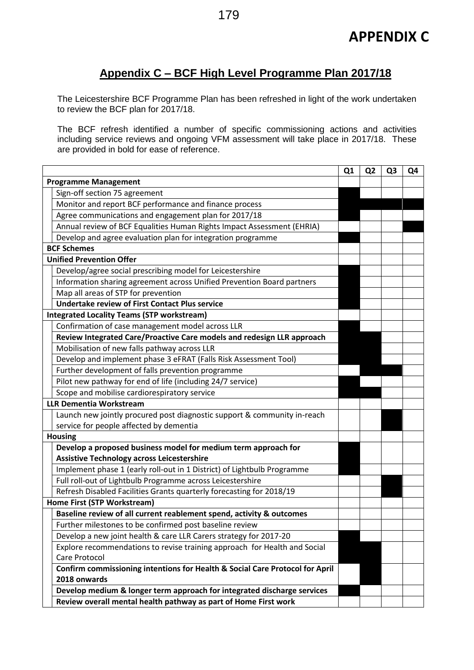## **Appendix C – BCF High Level Programme Plan 2017/18**

The Leicestershire BCF Programme Plan has been refreshed in light of the work undertaken to review the BCF plan for 2017/18.

The BCF refresh identified a number of specific commissioning actions and activities including service reviews and ongoing VFM assessment will take place in 2017/18. These are provided in bold for ease of reference.

|                                 |                                                                              | Q1 | Q <sub>2</sub> | Q <sub>3</sub> | Q4 |
|---------------------------------|------------------------------------------------------------------------------|----|----------------|----------------|----|
| <b>Programme Management</b>     |                                                                              |    |                |                |    |
|                                 | Sign-off section 75 agreement                                                |    |                |                |    |
|                                 | Monitor and report BCF performance and finance process                       |    |                |                |    |
|                                 | Agree communications and engagement plan for 2017/18                         |    |                |                |    |
|                                 | Annual review of BCF Equalities Human Rights Impact Assessment (EHRIA)       |    |                |                |    |
|                                 | Develop and agree evaluation plan for integration programme                  |    |                |                |    |
|                                 | <b>BCF Schemes</b>                                                           |    |                |                |    |
| <b>Unified Prevention Offer</b> |                                                                              |    |                |                |    |
|                                 | Develop/agree social prescribing model for Leicestershire                    |    |                |                |    |
|                                 | Information sharing agreement across Unified Prevention Board partners       |    |                |                |    |
|                                 | Map all areas of STP for prevention                                          |    |                |                |    |
|                                 | <b>Undertake review of First Contact Plus service</b>                        |    |                |                |    |
|                                 | <b>Integrated Locality Teams (STP workstream)</b>                            |    |                |                |    |
|                                 | Confirmation of case management model across LLR                             |    |                |                |    |
|                                 | Review Integrated Care/Proactive Care models and redesign LLR approach       |    |                |                |    |
|                                 | Mobilisation of new falls pathway across LLR                                 |    |                |                |    |
|                                 | Develop and implement phase 3 eFRAT (Falls Risk Assessment Tool)             |    |                |                |    |
|                                 | Further development of falls prevention programme                            |    |                |                |    |
|                                 | Pilot new pathway for end of life (including 24/7 service)                   |    |                |                |    |
|                                 | Scope and mobilise cardiorespiratory service                                 |    |                |                |    |
|                                 | <b>LLR Dementia Workstream</b>                                               |    |                |                |    |
|                                 | Launch new jointly procured post diagnostic support & community in-reach     |    |                |                |    |
|                                 | service for people affected by dementia                                      |    |                |                |    |
|                                 | <b>Housing</b>                                                               |    |                |                |    |
|                                 | Develop a proposed business model for medium term approach for               |    |                |                |    |
|                                 | <b>Assistive Technology across Leicestershire</b>                            |    |                |                |    |
|                                 | Implement phase 1 (early roll-out in 1 District) of Lightbulb Programme      |    |                |                |    |
|                                 | Full roll-out of Lightbulb Programme across Leicestershire                   |    |                |                |    |
|                                 | Refresh Disabled Facilities Grants quarterly forecasting for 2018/19         |    |                |                |    |
|                                 | Home First (STP Workstream)                                                  |    |                |                |    |
|                                 | Baseline review of all current reablement spend, activity & outcomes         |    |                |                |    |
|                                 | Further milestones to be confirmed post baseline review                      |    |                |                |    |
|                                 | Develop a new joint health & care LLR Carers strategy for 2017-20            |    |                |                |    |
|                                 | Explore recommendations to revise training approach for Health and Social    |    |                |                |    |
|                                 | Care Protocol                                                                |    |                |                |    |
|                                 | Confirm commissioning intentions for Health & Social Care Protocol for April |    |                |                |    |
|                                 | 2018 onwards                                                                 |    |                |                |    |
|                                 | Develop medium & longer term approach for integrated discharge services      |    |                |                |    |
|                                 | Review overall mental health pathway as part of Home First work              |    |                |                |    |